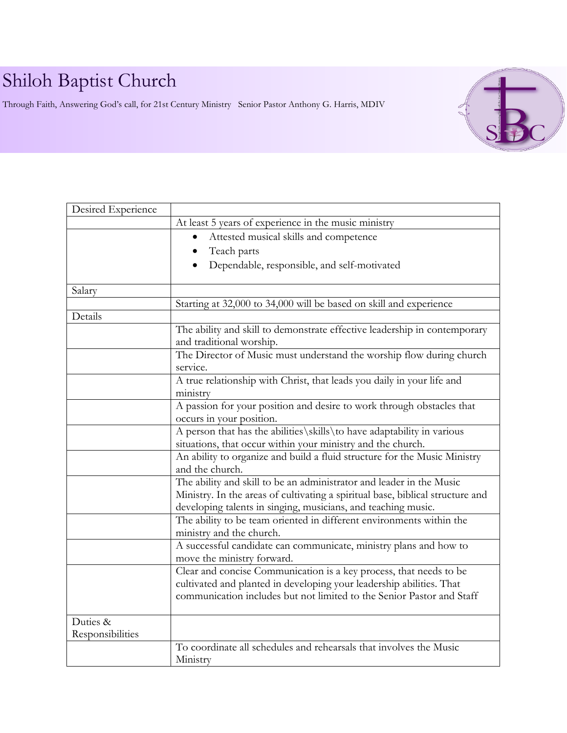## Shiloh Baptist Church

Through Faith, Answering God's call, for 21st Century Ministry Senior Pastor Anthony G. Harris, MDIV



| Desired Experience           |                                                                                                                                                                                                                         |  |  |
|------------------------------|-------------------------------------------------------------------------------------------------------------------------------------------------------------------------------------------------------------------------|--|--|
|                              | At least 5 years of experience in the music ministry                                                                                                                                                                    |  |  |
|                              | Attested musical skills and competence<br>$\bullet$                                                                                                                                                                     |  |  |
|                              | Teach parts<br>$\bullet$                                                                                                                                                                                                |  |  |
|                              | Dependable, responsible, and self-motivated                                                                                                                                                                             |  |  |
|                              |                                                                                                                                                                                                                         |  |  |
| Salary                       |                                                                                                                                                                                                                         |  |  |
|                              | Starting at 32,000 to 34,000 will be based on skill and experience                                                                                                                                                      |  |  |
| Details                      |                                                                                                                                                                                                                         |  |  |
|                              | The ability and skill to demonstrate effective leadership in contemporary<br>and traditional worship.                                                                                                                   |  |  |
|                              | The Director of Music must understand the worship flow during church<br>service.                                                                                                                                        |  |  |
|                              | A true relationship with Christ, that leads you daily in your life and<br>ministry                                                                                                                                      |  |  |
|                              | A passion for your position and desire to work through obstacles that<br>occurs in your position.                                                                                                                       |  |  |
|                              | A person that has the abilities\skills\to have adaptability in various<br>situations, that occur within your ministry and the church.                                                                                   |  |  |
|                              | An ability to organize and build a fluid structure for the Music Ministry<br>and the church.                                                                                                                            |  |  |
|                              | The ability and skill to be an administrator and leader in the Music<br>Ministry. In the areas of cultivating a spiritual base, biblical structure and<br>developing talents in singing, musicians, and teaching music. |  |  |
|                              | The ability to be team oriented in different environments within the<br>ministry and the church.                                                                                                                        |  |  |
|                              | A successful candidate can communicate, ministry plans and how to<br>move the ministry forward.                                                                                                                         |  |  |
|                              | Clear and concise Communication is a key process, that needs to be<br>cultivated and planted in developing your leadership abilities. That<br>communication includes but not limited to the Senior Pastor and Staff     |  |  |
| Duties &<br>Responsibilities |                                                                                                                                                                                                                         |  |  |
|                              | To coordinate all schedules and rehearsals that involves the Music<br>Ministry                                                                                                                                          |  |  |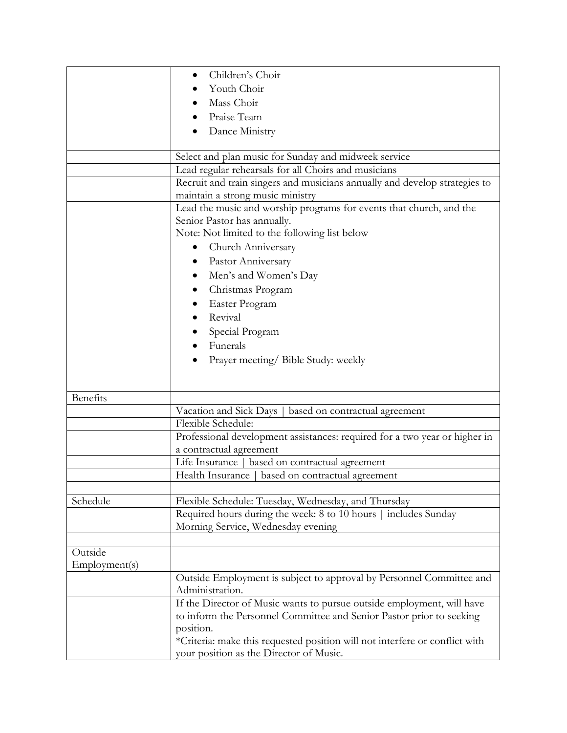|               | Children's Choir                                                            |  |  |
|---------------|-----------------------------------------------------------------------------|--|--|
|               | Youth Choir                                                                 |  |  |
|               | Mass Choir                                                                  |  |  |
|               | Praise Team                                                                 |  |  |
|               | Dance Ministry                                                              |  |  |
|               |                                                                             |  |  |
|               | Select and plan music for Sunday and midweek service                        |  |  |
|               | Lead regular rehearsals for all Choirs and musicians                        |  |  |
|               | Recruit and train singers and musicians annually and develop strategies to  |  |  |
|               | maintain a strong music ministry                                            |  |  |
|               | Lead the music and worship programs for events that church, and the         |  |  |
|               | Senior Pastor has annually.                                                 |  |  |
|               | Note: Not limited to the following list below                               |  |  |
|               | Church Anniversary<br>$\bullet$                                             |  |  |
|               | Pastor Anniversary                                                          |  |  |
|               | Men's and Women's Day<br>$\bullet$                                          |  |  |
|               | Christmas Program<br>٠                                                      |  |  |
|               | Easter Program                                                              |  |  |
|               | Revival                                                                     |  |  |
|               | Special Program                                                             |  |  |
|               | Funerals                                                                    |  |  |
|               | Prayer meeting/ Bible Study: weekly                                         |  |  |
|               |                                                                             |  |  |
|               |                                                                             |  |  |
| Benefits      |                                                                             |  |  |
|               | Vacation and Sick Days   based on contractual agreement                     |  |  |
|               | Flexible Schedule:                                                          |  |  |
|               | Professional development assistances: required for a two year or higher in  |  |  |
|               | a contractual agreement                                                     |  |  |
|               | Life Insurance   based on contractual agreement                             |  |  |
|               | Health Insurance   based on contractual agreement                           |  |  |
|               |                                                                             |  |  |
| Schedule      | Flexible Schedule: Tuesday, Wednesday, and Thursday                         |  |  |
|               | Required hours during the week: 8 to 10 hours   includes Sunday             |  |  |
|               | Morning Service, Wednesday evening                                          |  |  |
| Outside       |                                                                             |  |  |
| Employment(s) |                                                                             |  |  |
|               | Outside Employment is subject to approval by Personnel Committee and        |  |  |
|               | Administration.                                                             |  |  |
|               | If the Director of Music wants to pursue outside employment, will have      |  |  |
|               | to inform the Personnel Committee and Senior Pastor prior to seeking        |  |  |
|               | position.                                                                   |  |  |
|               | *Criteria: make this requested position will not interfere or conflict with |  |  |
|               | your position as the Director of Music.                                     |  |  |